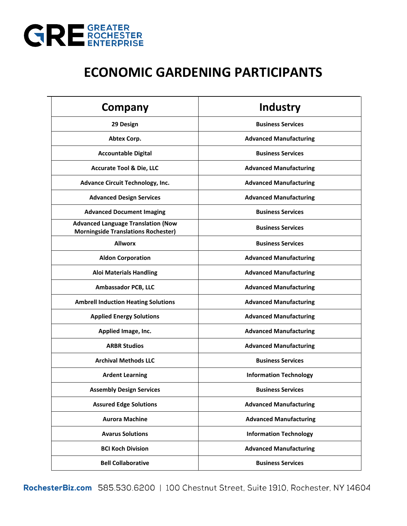

## **ECONOMIC GARDENING PARTICIPANTS**

| <b>Company</b>                                                                          | Industry                      |
|-----------------------------------------------------------------------------------------|-------------------------------|
| 29 Design                                                                               | <b>Business Services</b>      |
| Abtex Corp.                                                                             | <b>Advanced Manufacturing</b> |
| <b>Accountable Digital</b>                                                              | <b>Business Services</b>      |
| <b>Accurate Tool &amp; Die, LLC</b>                                                     | <b>Advanced Manufacturing</b> |
| <b>Advance Circuit Technology, Inc.</b>                                                 | <b>Advanced Manufacturing</b> |
| <b>Advanced Design Services</b>                                                         | <b>Advanced Manufacturing</b> |
| <b>Advanced Document Imaging</b>                                                        | <b>Business Services</b>      |
| <b>Advanced Language Translation (Now</b><br><b>Morningside Translations Rochester)</b> | <b>Business Services</b>      |
| <b>Allworx</b>                                                                          | <b>Business Services</b>      |
| <b>Aldon Corporation</b>                                                                | <b>Advanced Manufacturing</b> |
| <b>Aloi Materials Handling</b>                                                          | <b>Advanced Manufacturing</b> |
| Ambassador PCB, LLC                                                                     | <b>Advanced Manufacturing</b> |
| <b>Ambrell Induction Heating Solutions</b>                                              | <b>Advanced Manufacturing</b> |
| <b>Applied Energy Solutions</b>                                                         | <b>Advanced Manufacturing</b> |
| Applied Image, Inc.                                                                     | <b>Advanced Manufacturing</b> |
| <b>ARBR Studios</b>                                                                     | <b>Advanced Manufacturing</b> |
| <b>Archival Methods LLC</b>                                                             | <b>Business Services</b>      |
| <b>Ardent Learning</b>                                                                  | <b>Information Technology</b> |
| <b>Assembly Design Services</b>                                                         | <b>Business Services</b>      |
| <b>Assured Edge Solutions</b>                                                           | <b>Advanced Manufacturing</b> |
| <b>Aurora Machine</b>                                                                   | <b>Advanced Manufacturing</b> |
| <b>Avarus Solutions</b>                                                                 | <b>Information Technology</b> |
| <b>BCI Koch Division</b>                                                                | <b>Advanced Manufacturing</b> |
| <b>Bell Collaborative</b>                                                               | <b>Business Services</b>      |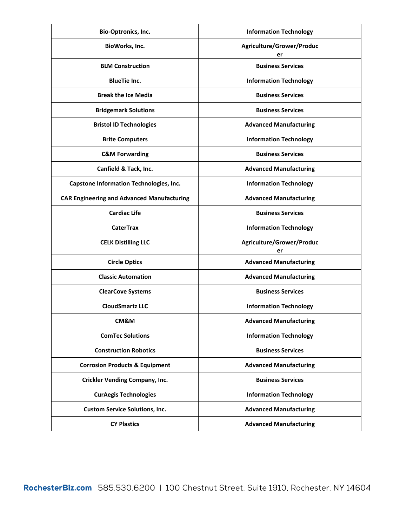| Bio-Optronics, Inc.                               | <b>Information Technology</b>   |
|---------------------------------------------------|---------------------------------|
| BioWorks, Inc.                                    | Agriculture/Grower/Produc<br>er |
| <b>BLM Construction</b>                           | <b>Business Services</b>        |
| <b>BlueTie Inc.</b>                               | <b>Information Technology</b>   |
| <b>Break the Ice Media</b>                        | <b>Business Services</b>        |
| <b>Bridgemark Solutions</b>                       | <b>Business Services</b>        |
| <b>Bristol ID Technologies</b>                    | <b>Advanced Manufacturing</b>   |
| <b>Brite Computers</b>                            | <b>Information Technology</b>   |
| <b>C&amp;M Forwarding</b>                         | <b>Business Services</b>        |
| Canfield & Tack, Inc.                             | <b>Advanced Manufacturing</b>   |
| Capstone Information Technologies, Inc.           | <b>Information Technology</b>   |
| <b>CAR Engineering and Advanced Manufacturing</b> | <b>Advanced Manufacturing</b>   |
| <b>Cardiac Life</b>                               | <b>Business Services</b>        |
| <b>CaterTrax</b>                                  | <b>Information Technology</b>   |
| <b>CELK Distilling LLC</b>                        | Agriculture/Grower/Produc<br>er |
| <b>Circle Optics</b>                              | <b>Advanced Manufacturing</b>   |
| <b>Classic Automation</b>                         | <b>Advanced Manufacturing</b>   |
| <b>ClearCove Systems</b>                          | <b>Business Services</b>        |
| <b>CloudSmartz LLC</b>                            | <b>Information Technology</b>   |
| CM&M                                              | <b>Advanced Manufacturing</b>   |
| <b>ComTec Solutions</b>                           | <b>Information Technology</b>   |
| <b>Construction Robotics</b>                      | <b>Business Services</b>        |
| <b>Corrosion Products &amp; Equipment</b>         | <b>Advanced Manufacturing</b>   |
| <b>Crickler Vending Company, Inc.</b>             | <b>Business Services</b>        |
| <b>CurAegis Technologies</b>                      | <b>Information Technology</b>   |
| <b>Custom Service Solutions, Inc.</b>             | <b>Advanced Manufacturing</b>   |
| <b>CY Plastics</b>                                | <b>Advanced Manufacturing</b>   |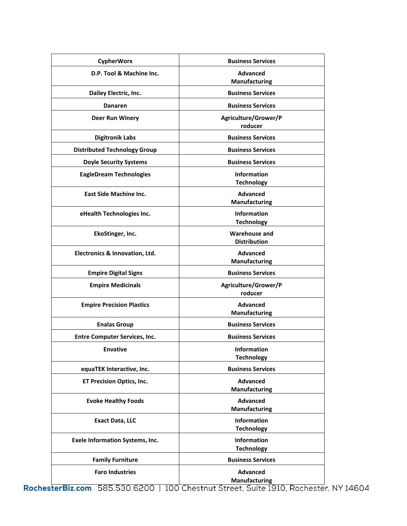| <b>CypherWorx</b>                      | <b>Business Services</b>                    |
|----------------------------------------|---------------------------------------------|
| D.P. Tool & Machine Inc.               | <b>Advanced</b><br><b>Manufacturing</b>     |
| Dailey Electric, Inc.                  | <b>Business Services</b>                    |
| <b>Danaren</b>                         | <b>Business Services</b>                    |
| <b>Deer Run Winery</b>                 | Agriculture/Grower/P<br>roducer             |
| <b>Digitronik Labs</b>                 | <b>Business Services</b>                    |
| <b>Distributed Technology Group</b>    | <b>Business Services</b>                    |
| <b>Doyle Security Systems</b>          | <b>Business Services</b>                    |
| <b>EagleDream Technologies</b>         | <b>Information</b><br><b>Technology</b>     |
| <b>East Side Machine Inc.</b>          | <b>Advanced</b><br><b>Manufacturing</b>     |
| eHealth Technologies Inc.              | <b>Information</b><br><b>Technology</b>     |
| EkoStinger, Inc.                       | <b>Warehouse and</b><br><b>Distribution</b> |
| Electronics & Innovation, Ltd.         | <b>Advanced</b><br><b>Manufacturing</b>     |
| <b>Empire Digital Signs</b>            | <b>Business Services</b>                    |
| <b>Empire Medicinals</b>               | Agriculture/Grower/P<br>roducer             |
| <b>Empire Precision Plastics</b>       | <b>Advanced</b><br><b>Manufacturing</b>     |
| <b>Enalas Group</b>                    | <b>Business Services</b>                    |
| <b>Entre Computer Services, Inc.</b>   | <b>Business Services</b>                    |
| <b>Envative</b>                        | Information<br><b>Technology</b>            |
| equaTEK Interactive, Inc.              | <b>Business Services</b>                    |
| <b>ET Precision Optics, Inc.</b>       | <b>Advanced</b><br><b>Manufacturing</b>     |
| <b>Evoke Healthy Foods</b>             | <b>Advanced</b><br><b>Manufacturing</b>     |
| <b>Exact Data, LLC</b>                 | Information<br><b>Technology</b>            |
| <b>Exele Information Systems, Inc.</b> | <b>Information</b><br><b>Technology</b>     |
| <b>Family Furniture</b>                | <b>Business Services</b>                    |
| <b>Faro Industries</b>                 | <b>Advanced</b><br>Manufacturing            |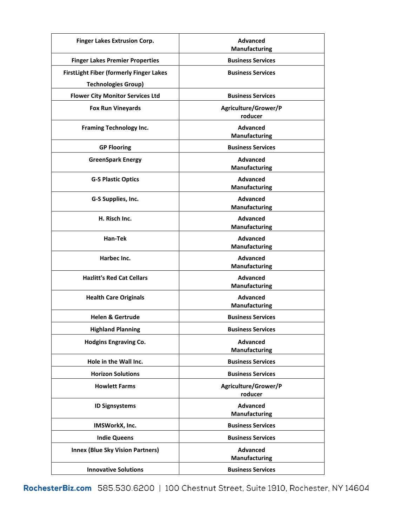| <b>Finger Lakes Extrusion Corp.</b>                                   | <b>Advanced</b><br><b>Manufacturing</b> |
|-----------------------------------------------------------------------|-----------------------------------------|
| <b>Finger Lakes Premier Properties</b>                                | <b>Business Services</b>                |
| <b>FirstLight Fiber (formerly Finger Lakes</b>                        | <b>Business Services</b>                |
| <b>Technologies Group)</b><br><b>Flower City Monitor Services Ltd</b> | <b>Business Services</b>                |
|                                                                       |                                         |
| <b>Fox Run Vineyards</b>                                              | Agriculture/Grower/P<br>roducer         |
| <b>Framing Technology Inc.</b>                                        | <b>Advanced</b><br><b>Manufacturing</b> |
| <b>GP Flooring</b>                                                    | <b>Business Services</b>                |
| <b>GreenSpark Energy</b>                                              | <b>Advanced</b><br>Manufacturing        |
| <b>G-S Plastic Optics</b>                                             | <b>Advanced</b><br><b>Manufacturing</b> |
| G-S Supplies, Inc.                                                    | <b>Advanced</b><br>Manufacturing        |
| H. Risch Inc.                                                         | <b>Advanced</b><br><b>Manufacturing</b> |
| Han-Tek                                                               | <b>Advanced</b><br>Manufacturing        |
| Harbec Inc.                                                           | <b>Advanced</b><br><b>Manufacturing</b> |
| <b>Hazlitt's Red Cat Cellars</b>                                      | <b>Advanced</b><br>Manufacturing        |
| <b>Health Care Originals</b>                                          | <b>Advanced</b><br><b>Manufacturing</b> |
| <b>Helen &amp; Gertrude</b>                                           | <b>Business Services</b>                |
| <b>Highland Planning</b>                                              | <b>Business Services</b>                |
| <b>Hodgins Engraving Co.</b>                                          | <b>Advanced</b><br><b>Manufacturing</b> |
| Hole in the Wall Inc.                                                 | <b>Business Services</b>                |
| <b>Horizon Solutions</b>                                              | <b>Business Services</b>                |
| <b>Howlett Farms</b>                                                  | Agriculture/Grower/P<br>roducer         |
| <b>ID Signsystems</b>                                                 | <b>Advanced</b><br><b>Manufacturing</b> |
| IMSWorkX, Inc.                                                        | <b>Business Services</b>                |
| <b>Indie Queens</b>                                                   | <b>Business Services</b>                |
| <b>Innex (Blue Sky Vision Partners)</b>                               | <b>Advanced</b><br>Manufacturing        |
| <b>Innovative Solutions</b>                                           | <b>Business Services</b>                |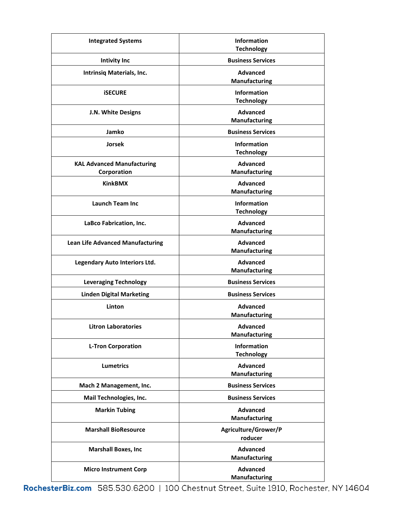| <b>Integrated Systems</b>                        | <b>Information</b><br><b>Technology</b> |
|--------------------------------------------------|-----------------------------------------|
| <b>Intivity Inc</b>                              | <b>Business Services</b>                |
| Intrinsiq Materials, Inc.                        | <b>Advanced</b><br><b>Manufacturing</b> |
| <b><i>ISECURE</i></b>                            | <b>Information</b><br><b>Technology</b> |
| J.N. White Designs                               | <b>Advanced</b><br><b>Manufacturing</b> |
| Jamko                                            | <b>Business Services</b>                |
| <b>Jorsek</b>                                    | <b>Information</b><br><b>Technology</b> |
| <b>KAL Advanced Manufacturing</b><br>Corporation | <b>Advanced</b><br>Manufacturing        |
| <b>KinkBMX</b>                                   | <b>Advanced</b><br><b>Manufacturing</b> |
| <b>Launch Team Inc.</b>                          | <b>Information</b><br><b>Technology</b> |
| LaBco Fabrication, Inc.                          | <b>Advanced</b><br>Manufacturing        |
| <b>Lean Life Advanced Manufacturing</b>          | <b>Advanced</b><br>Manufacturing        |
| Legendary Auto Interiors Ltd.                    | <b>Advanced</b><br>Manufacturing        |
| <b>Leveraging Technology</b>                     | <b>Business Services</b>                |
| <b>Linden Digital Marketing</b>                  | <b>Business Services</b>                |
| Linton                                           | <b>Advanced</b><br><b>Manufacturing</b> |
| <b>Litron Laboratories</b>                       | <b>Advanced</b><br>Manufacturing        |
| <b>L-Tron Corporation</b>                        | <b>Information</b><br><b>Technology</b> |
| <b>Lumetrics</b>                                 | <b>Advanced</b><br>Manufacturing        |
| Mach 2 Management, Inc.                          | <b>Business Services</b>                |
| Mail Technologies, Inc.                          | <b>Business Services</b>                |
| <b>Markin Tubing</b>                             | <b>Advanced</b><br><b>Manufacturing</b> |
| <b>Marshall BioResource</b>                      | Agriculture/Grower/P<br>roducer         |
| <b>Marshall Boxes, Inc</b>                       | <b>Advanced</b><br>Manufacturing        |
| <b>Micro Instrument Corp</b>                     | <b>Advanced</b><br>Manufacturing        |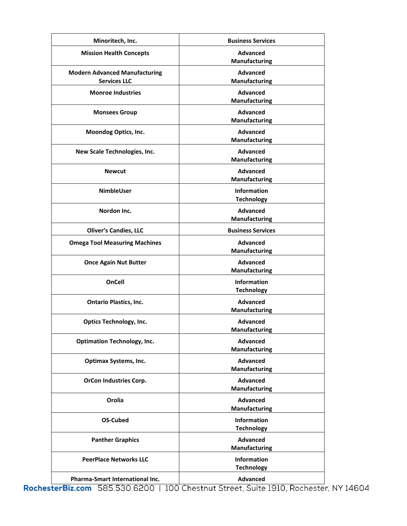| Minoritech, Inc.                                            | <b>Business Services</b>                |
|-------------------------------------------------------------|-----------------------------------------|
| <b>Mission Health Concepts</b>                              | <b>Advanced</b><br>Manufacturing        |
| <b>Modern Advanced Manufacturing</b><br><b>Services LLC</b> | <b>Advanced</b><br>Manufacturing        |
| <b>Monroe Industries</b>                                    | <b>Advanced</b><br>Manufacturing        |
| <b>Monsees Group</b>                                        | <b>Advanced</b><br>Manufacturing        |
| Moondog Optics, Inc.                                        | <b>Advanced</b><br>Manufacturing        |
| New Scale Technologies, Inc.                                | <b>Advanced</b><br>Manufacturing        |
| <b>Newcut</b>                                               | <b>Advanced</b><br><b>Manufacturing</b> |
| <b>NimbleUser</b>                                           | <b>Information</b><br><b>Technology</b> |
| Nordon Inc.                                                 | <b>Advanced</b><br>Manufacturing        |
| <b>Oliver's Candies, LLC</b>                                | <b>Business Services</b>                |
| <b>Omega Tool Measuring Machines</b>                        | <b>Advanced</b><br><b>Manufacturing</b> |
| <b>Once Again Nut Butter</b>                                | <b>Advanced</b><br><b>Manufacturing</b> |
| <b>OnCell</b>                                               | <b>Information</b><br><b>Technology</b> |
| <b>Ontario Plastics, Inc.</b>                               | <b>Advanced</b><br>Manufacturing        |
| <b>Optics Technology, Inc.</b>                              | <b>Advanced</b><br>Manufacturing        |
| <b>Optimation Technology, Inc.</b>                          | <b>Advanced</b><br><b>Manufacturing</b> |
| <b>Optimax Systems, Inc.</b>                                | <b>Advanced</b><br><b>Manufacturing</b> |
| <b>OrCon Industries Corp.</b>                               | <b>Advanced</b><br>Manufacturing        |
| Orolia                                                      | <b>Advanced</b><br><b>Manufacturing</b> |
| <b>OS-Cubed</b>                                             | <b>Information</b><br><b>Technology</b> |
| <b>Panther Graphics</b>                                     | <b>Advanced</b><br>Manufacturing        |
| <b>PeerPlace Networks LLC</b>                               | <b>Information</b><br><b>Technology</b> |
| Pharma-Smart International Inc.                             | <b>Advanced</b>                         |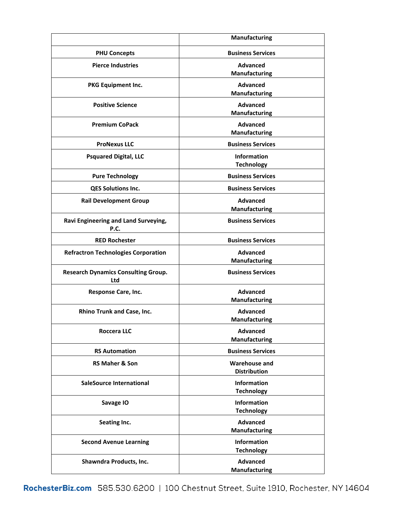|                                                   | Manufacturing                               |
|---------------------------------------------------|---------------------------------------------|
| <b>PHU Concepts</b>                               | <b>Business Services</b>                    |
| <b>Pierce Industries</b>                          | <b>Advanced</b><br>Manufacturing            |
| PKG Equipment Inc.                                | <b>Advanced</b><br><b>Manufacturing</b>     |
| <b>Positive Science</b>                           | <b>Advanced</b><br>Manufacturing            |
| <b>Premium CoPack</b>                             | <b>Advanced</b><br><b>Manufacturing</b>     |
| <b>ProNexus LLC</b>                               | <b>Business Services</b>                    |
| <b>Psquared Digital, LLC</b>                      | <b>Information</b><br><b>Technology</b>     |
| <b>Pure Technology</b>                            | <b>Business Services</b>                    |
| QES Solutions Inc.                                | <b>Business Services</b>                    |
| <b>Rail Development Group</b>                     | <b>Advanced</b><br><b>Manufacturing</b>     |
| Ravi Engineering and Land Surveying,<br>P.C.      | <b>Business Services</b>                    |
| <b>RED Rochester</b>                              | <b>Business Services</b>                    |
| <b>Refractron Technologies Corporation</b>        | <b>Advanced</b><br>Manufacturing            |
| <b>Research Dynamics Consulting Group.</b><br>Ltd | <b>Business Services</b>                    |
| <b>Response Care, Inc.</b>                        | <b>Advanced</b><br>Manufacturing            |
| Rhino Trunk and Case, Inc.                        | <b>Advanced</b><br><b>Manufacturing</b>     |
| <b>Roccera LLC</b>                                | <b>Advanced</b><br><b>Manufacturing</b>     |
| <b>RS Automation</b>                              | <b>Business Services</b>                    |
| <b>RS Maher &amp; Son</b>                         | <b>Warehouse and</b><br><b>Distribution</b> |
| SaleSource International                          | <b>Information</b><br><b>Technology</b>     |
| Savage IO                                         | <b>Information</b><br><b>Technology</b>     |
| Seating Inc.                                      | <b>Advanced</b><br><b>Manufacturing</b>     |
| <b>Second Avenue Learning</b>                     | <b>Information</b><br><b>Technology</b>     |
| Shawndra Products, Inc.                           | <b>Advanced</b><br><b>Manufacturing</b>     |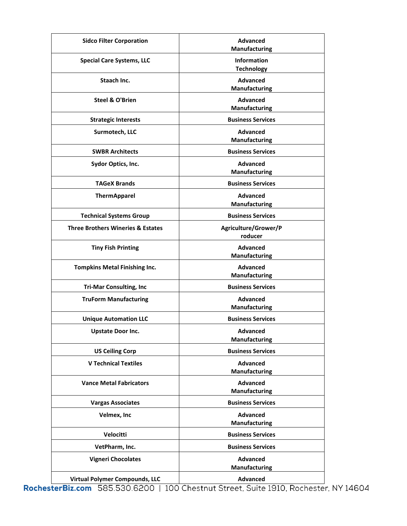| <b>Sidco Filter Corporation</b>              | <b>Advanced</b><br>Manufacturing        |
|----------------------------------------------|-----------------------------------------|
| <b>Special Care Systems, LLC</b>             | Information<br><b>Technology</b>        |
| Staach Inc.                                  | <b>Advanced</b><br><b>Manufacturing</b> |
| <b>Steel &amp; O'Brien</b>                   | <b>Advanced</b><br><b>Manufacturing</b> |
| <b>Strategic Interests</b>                   | <b>Business Services</b>                |
| Surmotech, LLC                               | <b>Advanced</b><br><b>Manufacturing</b> |
| <b>SWBR Architects</b>                       | <b>Business Services</b>                |
| Sydor Optics, Inc.                           | <b>Advanced</b><br><b>Manufacturing</b> |
| <b>TAGeX Brands</b>                          | <b>Business Services</b>                |
| <b>ThermApparel</b>                          | <b>Advanced</b><br><b>Manufacturing</b> |
| <b>Technical Systems Group</b>               | <b>Business Services</b>                |
| <b>Three Brothers Wineries &amp; Estates</b> | Agriculture/Grower/P<br>roducer         |
| <b>Tiny Fish Printing</b>                    | <b>Advanced</b><br><b>Manufacturing</b> |
| <b>Tompkins Metal Finishing Inc.</b>         | <b>Advanced</b><br><b>Manufacturing</b> |
| <b>Tri-Mar Consulting, Inc</b>               | <b>Business Services</b>                |
| <b>TruForm Manufacturing</b>                 | <b>Advanced</b><br>Manufacturing        |
| <b>Unique Automation LLC</b>                 | <b>Business Services</b>                |
| <b>Upstate Door Inc.</b>                     | Advanced<br><b>Manufacturing</b>        |
| <b>US Ceiling Corp</b>                       | <b>Business Services</b>                |
| <b>V Technical Textiles</b>                  | <b>Advanced</b><br><b>Manufacturing</b> |
| <b>Vance Metal Fabricators</b>               | <b>Advanced</b><br>Manufacturing        |
| <b>Vargas Associates</b>                     | <b>Business Services</b>                |
| Velmex, Inc                                  | <b>Advanced</b><br><b>Manufacturing</b> |
| Velocitti                                    | <b>Business Services</b>                |
| VetPharm, Inc.                               | <b>Business Services</b>                |
| <b>Vigneri Chocolates</b>                    | <b>Advanced</b><br><b>Manufacturing</b> |
| <b>Virtual Polymer Compounds, LLC</b>        | Advanced                                |
|                                              |                                         |